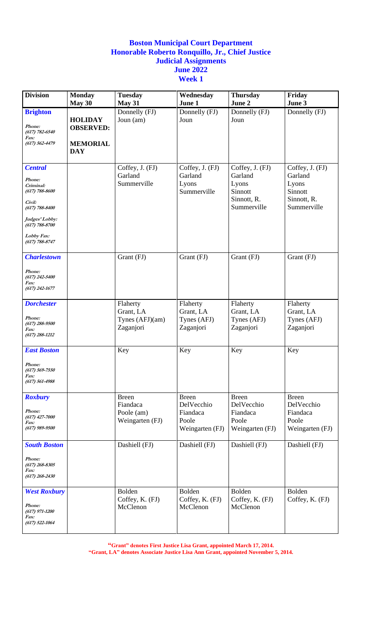| <b>Division</b>                                                                                                                                                         | <b>Monday</b>                                                       | <b>Tuesday</b>                                            | Wednesday                                                          | <b>Thursday</b>                                                              | Friday                                                                       |
|-------------------------------------------------------------------------------------------------------------------------------------------------------------------------|---------------------------------------------------------------------|-----------------------------------------------------------|--------------------------------------------------------------------|------------------------------------------------------------------------------|------------------------------------------------------------------------------|
|                                                                                                                                                                         | May 30                                                              | <b>May 31</b>                                             | June 1                                                             | June 2                                                                       | June 3                                                                       |
| <b>Brighton</b><br>Phone:<br>$(617) 782 - 6540$<br><i>Fax:</i><br>$(617) 562 - 4479$                                                                                    | <b>HOLIDAY</b><br><b>OBSERVED:</b><br><b>MEMORIAL</b><br><b>DAY</b> | Donnelly $(FJ)$<br>Joun (am)                              | Donnelly (FJ)<br>Joun                                              | Donnelly (FJ)<br>Joun                                                        | Donnelly (FJ)                                                                |
| <b>Central</b><br>Phone:<br>Criminal:<br>$(617) 788 - 8600$<br>Civil:<br>$(617) 788 - 8400$<br>Judges' Lobby:<br>$(617) 788 - 8700$<br>Lobby Fax:<br>$(617) 788 - 8747$ |                                                                     | Coffey, J. (FJ)<br>Garland<br>Summerville                 | Coffey, J. (FJ)<br>Garland<br>Lyons<br>Summerville                 | Coffey, J. (FJ)<br>Garland<br>Lyons<br>Sinnott<br>Sinnott, R.<br>Summerville | Coffey, J. (FJ)<br>Garland<br>Lyons<br>Sinnott<br>Sinnott, R.<br>Summerville |
| <b>Charlestown</b><br>Phone:<br>$(617)$ 242-5400<br><i>Fax:</i><br>$(617)$ 242-1677                                                                                     |                                                                     | Grant (FJ)                                                | Grant (FJ)                                                         | Grant (FJ)                                                                   | Grant (FJ)                                                                   |
| <b>Dorchester</b><br>Phone:<br>$(617)$ 288-9500<br><i>Fax:</i><br>$(617)$ 288-1212                                                                                      |                                                                     | Flaherty<br>Grant, LA<br>Tynes (AFJ)(am)<br>Zaganjori     | Flaherty<br>Grant, LA<br>Tynes (AFJ)<br>Zaganjori                  | Flaherty<br>Grant, LA<br>Tynes (AFJ)<br>Zaganjori                            | Flaherty<br>Grant, LA<br>Tynes (AFJ)<br>Zaganjori                            |
| <b>East Boston</b><br><i>Phone:</i><br>$(617)$ 569-7550<br>Fax:<br>$(617) 561 - 4988$                                                                                   |                                                                     | Key                                                       | Key                                                                | Key                                                                          | Key                                                                          |
| <b>Roxbury</b><br>Phone:<br>$(617)$ 427-7000<br><i>Fax:</i><br>$(617)$ 989-9500                                                                                         |                                                                     | <b>Breen</b><br>Fiandaca<br>Poole (am)<br>Weingarten (FJ) | <b>Breen</b><br>DelVecchio<br>Fiandaca<br>Poole<br>Weingarten (FJ) | <b>Breen</b><br>DelVecchio<br>Fiandaca<br>Poole<br>Weingarten (FJ)           | <b>Breen</b><br>DelVecchio<br>Fiandaca<br>Poole<br>Weingarten (FJ)           |
| <b>South Boston</b><br>Phone:<br>$(617)$ 268-8305<br>Fax:<br>$(617)$ 268-2430                                                                                           |                                                                     | Dashiell (FJ)                                             | Dashiell (FJ)                                                      | Dashiell (FJ)                                                                | Dashiell (FJ)                                                                |
| <b>West Roxbury</b><br>Phone:<br>$(617)$ 971-1200<br><i>Fax:</i><br>$(617)$ 522-1064                                                                                    |                                                                     | Bolden<br>Coffey, K. (FJ)<br>McClenon                     | Bolden<br>Coffey, K. (FJ)<br>McClenon                              | Bolden<br>Coffey, K. (FJ)<br>McClenon                                        | Bolden<br>Coffey, K. (FJ)                                                    |

**"Grant" denotes First Justice Lisa Grant, appointed March 17, 2014.**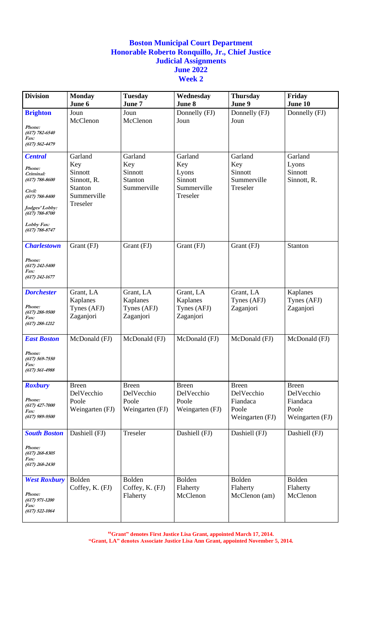| <b>Division</b>                                                                                                                                                     | <b>Monday</b><br>June 6                                                        | <b>Tuesday</b><br>June 7                               | Wednesday<br>June 8                                           | <b>Thursday</b><br>June 9                                          | Friday<br>June 10                                                  |
|---------------------------------------------------------------------------------------------------------------------------------------------------------------------|--------------------------------------------------------------------------------|--------------------------------------------------------|---------------------------------------------------------------|--------------------------------------------------------------------|--------------------------------------------------------------------|
| <b>Brighton</b><br>Phone:<br>$(617) 782 - 6540$<br>Fax:<br>$(617) 562 - 4479$                                                                                       | Joun<br>McClenon                                                               | Joun<br>McClenon                                       | Donnelly (FJ)<br>Joun                                         | Donnelly (FJ)<br>Joun                                              | Donnelly (FJ)                                                      |
| <b>Central</b><br>Phone:<br>Criminal:<br>(617) 788-8600<br>Civil:<br>$(617) 788 - 8400$<br>Judges' Lobby:<br>$(617) 788 - 8700$<br>Lobby Fax:<br>$(617) 788 - 8747$ | Garland<br>Key<br>Sinnott<br>Sinnott, R.<br>Stanton<br>Summerville<br>Treseler | Garland<br>Key<br>Sinnott<br>Stanton<br>Summerville    | Garland<br>Key<br>Lyons<br>Sinnott<br>Summerville<br>Treseler | Garland<br>Key<br>Sinnott<br>Summerville<br>Treseler               | Garland<br>Lyons<br>Sinnott<br>Sinnott, R.                         |
| <b>Charlestown</b><br>Phone:<br>$(617)$ 242-5400<br><i>Fax:</i><br>$(617)$ 242-1677                                                                                 | Grant (FJ)                                                                     | Grant (FJ)                                             | Grant (FJ)                                                    | Grant (FJ)                                                         | Stanton                                                            |
| <b>Dorchester</b><br>Phone:<br>$(617)$ 288-9500<br>Fax:<br>$(617)$ 288-1212                                                                                         | Grant, LA<br>Kaplanes<br>Tynes (AFJ)<br>Zaganjori                              | Grant, LA<br>Kaplanes<br>Tynes (AFJ)<br>Zaganjori      | Grant, LA<br>Kaplanes<br>Tynes (AFJ)<br>Zaganjori             | Grant, LA<br>Tynes (AFJ)<br>Zaganjori                              | Kaplanes<br>Tynes (AFJ)<br>Zaganjori                               |
| <b>East Boston</b><br>Phone:<br>$(617) 569 - 7550$<br><i>Fax:</i><br>$(617) 561 - 4988$                                                                             | McDonald (FJ)                                                                  | McDonald (FJ)                                          | McDonald (FJ)                                                 | McDonald (FJ)                                                      | McDonald (FJ)                                                      |
| <b>Roxbury</b><br>Phone:<br>$(617)$ 427-7000<br>Fax:<br>$(617)$ 989-9500                                                                                            | <b>Breen</b><br>DelVecchio<br>Poole<br>Weingarten (FJ)                         | <b>Breen</b><br>DelVecchio<br>Poole<br>Weingarten (FJ) | <b>Breen</b><br>DelVecchio<br>Poole<br>Weingarten (FJ)        | <b>Breen</b><br>DelVecchio<br>Fiandaca<br>Poole<br>Weingarten (FJ) | <b>Breen</b><br>DelVecchio<br>Fiandaca<br>Poole<br>Weingarten (FJ) |
| <b>South Boston</b><br>Phone:<br>$(617)$ 268-8305<br>Fax:<br>$(617)$ 268-2430                                                                                       | Dashiell (FJ)                                                                  | Treseler                                               | Dashiell (FJ)                                                 | Dashiell (FJ)                                                      | Dashiell (FJ)                                                      |
| <b>West Roxbury</b><br>Phone:<br>$(617)$ 971-1200<br>Fax:<br>$(617)$ 522-1064                                                                                       | Bolden<br>Coffey, K. (FJ)                                                      | Bolden<br>Coffey, K. (FJ)<br>Flaherty                  | Bolden<br>Flaherty<br>McClenon                                | Bolden<br>Flaherty<br>McClenon (am)                                | Bolden<br>Flaherty<br>McClenon                                     |

**"Grant" denotes First Justice Lisa Grant, appointed March 17, 2014.**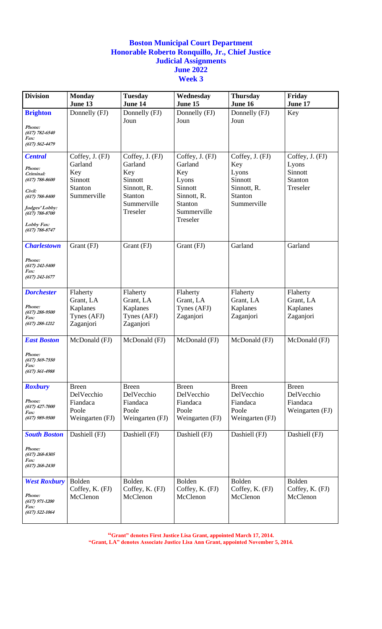| <b>Division</b>                                                                                                                                                   | <b>Monday</b><br>June 13                                               | <b>Tuesday</b><br>June 14                                                                         | Wednesday<br>June 15                                                                                              | <b>Thursday</b><br>June 16                                                          | Friday<br>June 17                                          |
|-------------------------------------------------------------------------------------------------------------------------------------------------------------------|------------------------------------------------------------------------|---------------------------------------------------------------------------------------------------|-------------------------------------------------------------------------------------------------------------------|-------------------------------------------------------------------------------------|------------------------------------------------------------|
| <b>Brighton</b><br>Phone:                                                                                                                                         | Donnelly (FJ)                                                          | Donnelly (FJ)<br>Joun                                                                             | Donnelly (FJ)<br>Joun                                                                                             | Donnelly (FJ)<br>Joun                                                               | Key                                                        |
| $(617) 782 - 6540$<br>Fax:<br>$(617) 562 - 4479$                                                                                                                  |                                                                        |                                                                                                   |                                                                                                                   |                                                                                     |                                                            |
| <b>Central</b><br>Phone:<br>Criminal:<br>(617) 788-8600<br>Civil:<br>$(617) 788 - 8400$<br>Judges' Lobby:<br>$(617) 788 - 8700$<br>Lobby Fax:<br>$(617)$ 788-8747 | Coffey, J. (FJ)<br>Garland<br>Key<br>Sinnott<br>Stanton<br>Summerville | Coffey, J. (FJ)<br>Garland<br>Key<br>Sinnott<br>Sinnott, R.<br>Stanton<br>Summerville<br>Treseler | Coffey, J. (FJ)<br>Garland<br>Key<br>Lyons<br>Sinnott<br>Sinnott, R.<br><b>Stanton</b><br>Summerville<br>Treseler | Coffey, J. (FJ)<br>Key<br>Lyons<br>Sinnott<br>Sinnott, R.<br>Stanton<br>Summerville | Coffey, J. (FJ)<br>Lyons<br>Sinnott<br>Stanton<br>Treseler |
| <b>Charlestown</b><br>Phone:<br>$(617)$ 242-5400<br><i>Fax:</i><br>$(617)$ 242-1677                                                                               | Grant (FJ)                                                             | Grant (FJ)                                                                                        | Grant (FJ)                                                                                                        | Garland                                                                             | Garland                                                    |
| <b>Dorchester</b><br>Phone:<br>$(617)$ 288-9500<br>Fax:<br>$(617)$ 288-1212                                                                                       | Flaherty<br>Grant, LA<br>Kaplanes<br>Tynes (AFJ)<br>Zaganjori          | Flaherty<br>Grant, LA<br>Kaplanes<br>Tynes (AFJ)<br>Zaganjori                                     | Flaherty<br>Grant, LA<br>Tynes (AFJ)<br>Zaganjori                                                                 | Flaherty<br>Grant, LA<br>Kaplanes<br>Zaganjori                                      | Flaherty<br>Grant, LA<br>Kaplanes<br>Zaganjori             |
| <b>East Boston</b><br>Phone:<br>$(617) 569 - 7550$<br><i>Fax:</i><br>$(617) 561 - 4988$                                                                           | McDonald (FJ)                                                          | McDonald (FJ)                                                                                     | McDonald (FJ)                                                                                                     | McDonald (FJ)                                                                       | McDonald (FJ)                                              |
| <b>Roxbury</b><br>Phone:<br>$(617)$ 427-7000<br><i>Fax:</i><br>$(617)$ 989-9500                                                                                   | <b>Breen</b><br>DelVecchio<br>Fiandaca<br>Poole<br>Weingarten (FJ)     | <b>Breen</b><br>DelVecchio<br>Fiandaca<br>Poole<br>Weingarten (FJ)                                | <b>Breen</b><br>DelVecchio<br>Fiandaca<br>Poole<br>Weingarten (FJ)                                                | <b>Breen</b><br>DelVecchio<br>Fiandaca<br>Poole<br>Weingarten (FJ)                  | <b>Breen</b><br>DelVecchio<br>Fiandaca<br>Weingarten (FJ)  |
| <b>South Boston</b><br>Phone:<br>$(617)$ 268-8305<br><i>Fax:</i><br>$(617)$ 268-2430                                                                              | Dashiell (FJ)                                                          | Dashiell (FJ)                                                                                     | Dashiell (FJ)                                                                                                     | Dashiell (FJ)                                                                       | Dashiell (FJ)                                              |
| <b>West Roxbury</b><br>Phone:<br>$(617)$ 971-1200<br><i>Fax:</i><br>$(617)$ 522-1064                                                                              | Bolden<br>Coffey, K. (FJ)<br>McClenon                                  | Bolden<br>Coffey, K. (FJ)<br>McClenon                                                             | Bolden<br>Coffey, K. (FJ)<br>McClenon                                                                             | Bolden<br>Coffey, K. (FJ)<br>McClenon                                               | Bolden<br>Coffey, K. (FJ)<br>McClenon                      |

**"Grant" denotes First Justice Lisa Grant, appointed March 17, 2014.**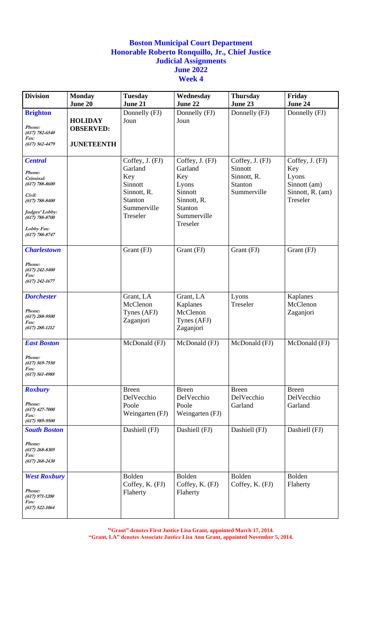| <b>Division</b>                   | <b>Monday</b>     | <b>Tuesday</b>  | Wednesday               | <b>Thursday</b> | Friday           |
|-----------------------------------|-------------------|-----------------|-------------------------|-----------------|------------------|
|                                   | June 20           | June 21         | June 22                 | June 23         | June 24          |
| <b>Brighton</b>                   |                   | Donnelly (FJ)   | Donnelly (FJ)           | Donnelly (FJ)   | Donnelly (FJ)    |
| Phone:                            | <b>HOLIDAY</b>    | Joun            | Joun                    |                 |                  |
| $(617) 782 - 6540$                | <b>OBSERVED:</b>  |                 |                         |                 |                  |
| Fax:<br>$(617) 562 - 4479$        | <b>JUNETEENTH</b> |                 |                         |                 |                  |
|                                   |                   |                 |                         |                 |                  |
| <b>Central</b>                    |                   | Coffey, J. (FJ) | Coffey, J. (FJ)         | Coffey, J. (FJ) | Coffey, J. (FJ)  |
|                                   |                   | Garland         | Garland                 | Sinnott         | Key              |
| Phone:<br>Criminal:               |                   | Key             | Key                     | Sinnott, R.     | Lyons            |
| (617) 788-8600                    |                   | Sinnott         | Lyons                   | Stanton         | Sinnott (am)     |
| Civil:                            |                   | Sinnott, R.     | Sinnott                 | Summerville     | Sinnott, R. (am) |
| $(617) 788 - 8400$                |                   | Stanton         | Sinnott, R.             |                 | Treseler         |
| Judges' Lobby:                    |                   | Summerville     | Stanton                 |                 |                  |
| (617) 788-8700                    |                   | Treseler        | Summerville<br>Treseler |                 |                  |
| Lobby Fax:                        |                   |                 |                         |                 |                  |
| $(617) 788 - 8747$                |                   |                 |                         |                 |                  |
| <b>Charlestown</b>                |                   | Grant (FJ)      | Grant (FJ)              | Grant (FJ)      | Grant (FJ)       |
|                                   |                   |                 |                         |                 |                  |
| Phone:<br>$(617)$ 242-5400        |                   |                 |                         |                 |                  |
| Fax:                              |                   |                 |                         |                 |                  |
| $(617)$ 242-1677                  |                   |                 |                         |                 |                  |
| <b>Dorchester</b>                 |                   | Grant, LA       | Grant, LA               | Lyons           | Kaplanes         |
|                                   |                   | McClenon        | Kaplanes                | Treseler        | McClenon         |
| Phone:                            |                   | Tynes (AFJ)     | McClenon                |                 | Zaganjori        |
| $(617) 288 - 9500$<br><i>Fax:</i> |                   | Zaganjori       | Tynes (AFJ)             |                 |                  |
| $(617)$ 288-1212                  |                   |                 | Zaganjori               |                 |                  |
|                                   |                   |                 |                         |                 |                  |
| <b>East Boston</b>                |                   | McDonald (FJ)   | McDonald (FJ)           | McDonald (FJ)   | McDonald (FJ)    |
| Phone:                            |                   |                 |                         |                 |                  |
| $(617) 569 - 7550$                |                   |                 |                         |                 |                  |
| Fax:<br>$(617) 561 - 4988$        |                   |                 |                         |                 |                  |
|                                   |                   |                 |                         |                 |                  |
| <b>Roxbury</b>                    |                   | <b>Breen</b>    | <b>Breen</b>            | <b>Breen</b>    | <b>Breen</b>     |
|                                   |                   | DelVecchio      | DelVecchio              | DelVecchio      | DelVecchio       |
| Phone:<br>$(617)$ 427-7000        |                   | Poole           | Poole                   | Garland         | Garland          |
| Fax:                              |                   | Weingarten (FJ) | Weingarten (FJ)         |                 |                  |
| $(617)$ 989-9500                  |                   | Dashiell (FJ)   |                         |                 |                  |
| <b>South Boston</b>               |                   |                 | Dashiell (FJ)           | Dashiell (FJ)   | Dashiell (FJ)    |
| Phone:                            |                   |                 |                         |                 |                  |
| $(617)$ 268-8305<br><i>Fax:</i>   |                   |                 |                         |                 |                  |
| $(617)$ 268-2430                  |                   |                 |                         |                 |                  |
|                                   |                   |                 |                         |                 |                  |
| <b>West Roxbury</b>               |                   | Bolden          | Bolden                  | Bolden          | Bolden           |
| Phone:                            |                   | Coffey, K. (FJ) | Coffey, K. (FJ)         | Coffey, K. (FJ) | Flaherty         |
| $(617)$ 971-1200                  |                   | Flaherty        | Flaherty                |                 |                  |
| <i>Fax:</i><br>$(617)$ 522-1064   |                   |                 |                         |                 |                  |
|                                   |                   |                 |                         |                 |                  |

**"Grant" denotes First Justice Lisa Grant, appointed March 17, 2014.**